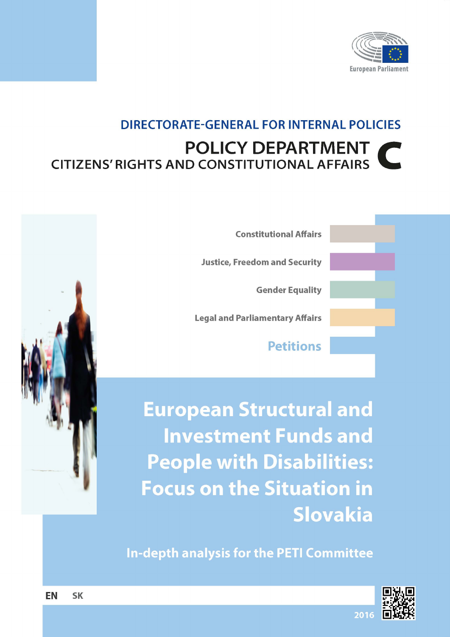

## **DIRECTORATE-GENERAL FOR INTERNAL POLICIES POLICY DEPARTMENT CITIZENS' RIGHTS AND CONSTITUTIONAL AFFAIRS**

| <b>Constitutional Affairs</b>          |  |
|----------------------------------------|--|
| <b>Justice, Freedom and Security</b>   |  |
| <b>Gender Equality</b>                 |  |
| <b>Legal and Parliamentary Affairs</b> |  |
| <b>Petitions</b>                       |  |
|                                        |  |

**European Structural and Investment Funds and People with Disabilities: Focus on the Situation in** Slovakia

**In-depth analysis for the PETI Committee** 



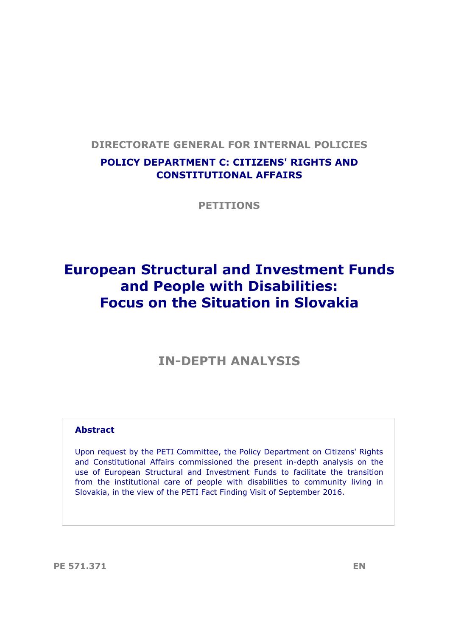## **DIRECTORATE GENERAL FOR INTERNAL POLICIES**

## **POLICY DEPARTMENT C: CITIZENS' RIGHTS AND CONSTITUTIONAL AFFAIRS**

**PETITIONS**

## **European Structural and Investment Funds and People with Disabilities: Focus on the Situation in Slovakia**

## **IN-DEPTH ANALYSIS**

#### **Abstract**

Upon request by the PETI Committee, the Policy Department on Citizens' Rights and Constitutional Affairs commissioned the present in-depth analysis on the use of European Structural and Investment Funds to facilitate the transition from the institutional care of people with disabilities to community living in Slovakia, in the view of the PETI Fact Finding Visit of September 2016.

**PE 571.371 EN**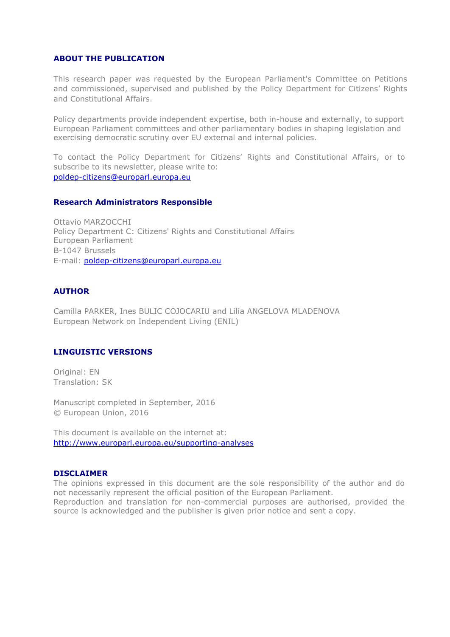#### **ABOUT THE PUBLICATION**

This research paper was requested by the European Parliament's Committee on Petitions and commissioned, supervised and published by the Policy Department for Citizens' Rights and Constitutional Affairs.

Policy departments provide independent expertise, both in-house and externally, to support European Parliament committees and other parliamentary bodies in shaping legislation and exercising democratic scrutiny over EU external and internal policies.

To contact the Policy Department for Citizens' Rights and Constitutional Affairs, or to subscribe to its newsletter, please write to: poldep-citizens@europarl.europa.eu

#### **Research Administrators Responsible**

Ottavio MARZOCCHI Policy Department C: Citizens' Rights and Constitutional Affairs European Parliament B-1047 Brussels E-mail: poldep-citizens@europarl.europa.eu

#### **AUTHOR**

Camilla PARKER, Ines BULIC COJOCARIU and Lilia ANGELOVA MLADENOVA European Network on Independent Living (ENIL)

#### **LINGUISTIC VERSIONS**

Original: EN Translation: SK

Manuscript completed in September, 2016 © European Union, 2016

This document is available on the internet at: http://www.europarl.europa.eu/supporting-analyses

#### **DISCLAIMER**

The opinions expressed in this document are the sole responsibility of the author and do not necessarily represent the official position of the European Parliament. Reproduction and translation for non-commercial purposes are authorised, provided the source is acknowledged and the publisher is given prior notice and sent a copy.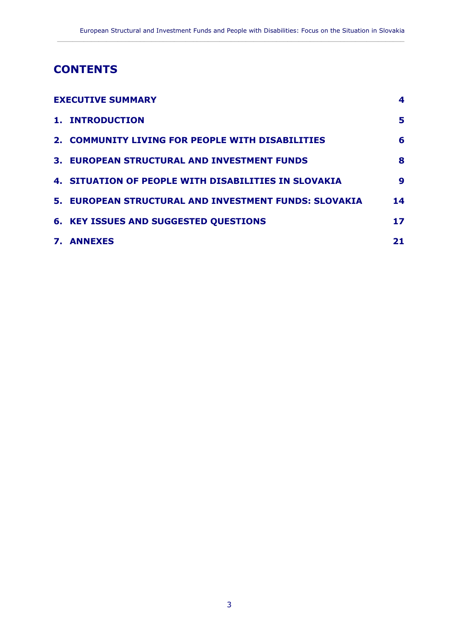$\_$  ,  $\_$  ,  $\_$  ,  $\_$  ,  $\_$  ,  $\_$  ,  $\_$  ,  $\_$  ,  $\_$  ,  $\_$  ,  $\_$  ,  $\_$  ,  $\_$  ,  $\_$  ,  $\_$  ,  $\_$  ,  $\_$  ,  $\_$  ,  $\_$  ,  $\_$  ,  $\_$  ,  $\_$  ,  $\_$  ,  $\_$  ,  $\_$  ,  $\_$  ,  $\_$  ,  $\_$  ,  $\_$  ,  $\_$  ,  $\_$  ,  $\_$  ,  $\_$  ,  $\_$  ,  $\_$  ,  $\_$  ,  $\_$  ,

## **CONTENTS**

| <b>EXECUTIVE SUMMARY</b> |                                                             | 4  |
|--------------------------|-------------------------------------------------------------|----|
|                          | 1. INTRODUCTION                                             | 5  |
|                          | 2. COMMUNITY LIVING FOR PEOPLE WITH DISABILITIES            | 6  |
|                          | <b>3. EUROPEAN STRUCTURAL AND INVESTMENT FUNDS</b>          | 8  |
|                          | <b>4. SITUATION OF PEOPLE WITH DISABILITIES IN SLOVAKIA</b> | 9  |
|                          | 5. EUROPEAN STRUCTURAL AND INVESTMENT FUNDS: SLOVAKIA       | 14 |
|                          | <b>6. KEY ISSUES AND SUGGESTED QUESTIONS</b>                | 17 |
|                          | <b>7. ANNEXES</b>                                           | 21 |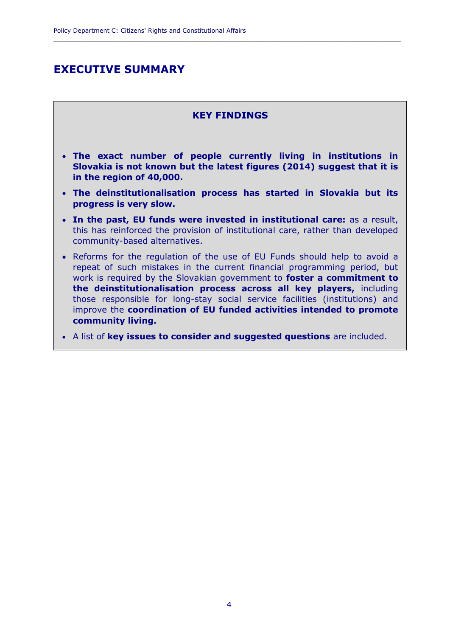## <span id="page-5-0"></span>**EXECUTIVE SUMMARY**

#### **KEY FINDINGS**

**\_\_\_\_\_\_\_\_\_\_\_\_\_\_\_\_\_\_\_\_\_\_\_\_\_\_\_\_\_\_\_\_\_\_\_\_\_\_\_\_\_\_\_\_\_\_\_\_\_\_\_\_\_\_\_\_\_\_\_\_\_\_\_\_\_\_\_\_\_\_\_\_\_\_\_\_\_\_\_\_\_\_\_\_\_\_\_\_\_\_\_\_**

- **The exact number of people currently living in institutions in Slovakia is not known but the latest figures (2014) suggest that it is in the region of 40,000.**
- **The deinstitutionalisation process has started in Slovakia but its progress is very slow.**
- **In the past, EU funds were invested in institutional care:** as a result, this has reinforced the provision of institutional care, rather than developed community-based alternatives.
- Reforms for the regulation of the use of EU Funds should help to avoid a repeat of such mistakes in the current financial programming period, but work is required by the Slovakian government to **foster a commitment to the deinstitutionalisation process across all key players,** including those responsible for long-stay social service facilities (institutions) and improve the **coordination of EU funded activities intended to promote community living.**
- A list of **key issues to consider and suggested questions** are included.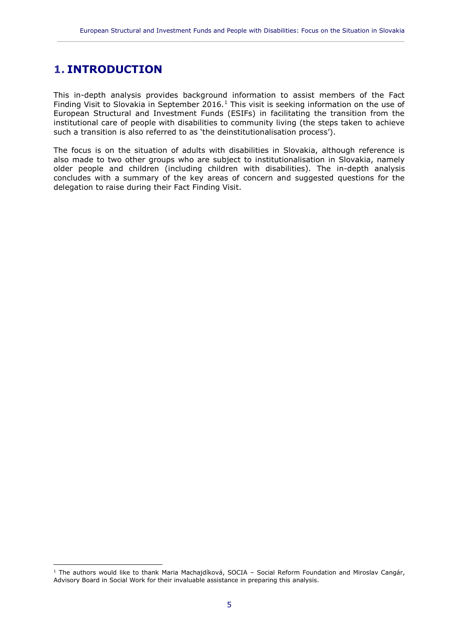$\_$  ,  $\_$  ,  $\_$  ,  $\_$  ,  $\_$  ,  $\_$  ,  $\_$  ,  $\_$  ,  $\_$  ,  $\_$  ,  $\_$  ,  $\_$  ,  $\_$  ,  $\_$  ,  $\_$  ,  $\_$  ,  $\_$  ,  $\_$  ,  $\_$  ,  $\_$  ,  $\_$  ,  $\_$  ,  $\_$  ,  $\_$  ,  $\_$  ,  $\_$  ,  $\_$  ,  $\_$  ,  $\_$  ,  $\_$  ,  $\_$  ,  $\_$  ,  $\_$  ,  $\_$  ,  $\_$  ,  $\_$  ,  $\_$  ,

## <span id="page-6-0"></span>**1. INTRODUCTION**

 $\overline{a}$ 

This in-depth analysis provides background information to assist members of the Fact Finding Visit to Slovakia in September 2016.<sup>1</sup> This visit is seeking information on the use of European Structural and Investment Funds (ESIFs) in facilitating the transition from the institutional care of people with disabilities to community living (the steps taken to achieve such a transition is also referred to as 'the deinstitutionalisation process').

The focus is on the situation of adults with disabilities in Slovakia, although reference is also made to two other groups who are subject to institutionalisation in Slovakia, namely older people and children (including children with disabilities). The in-depth analysis concludes with a summary of the key areas of concern and suggested questions for the delegation to raise during their Fact Finding Visit.

<sup>1</sup> The authors would like to thank Maria Machajdíková, SOCIA – Social Reform Foundation and Miroslav Cangár, Advisory Board in Social Work for their invaluable assistance in preparing this analysis.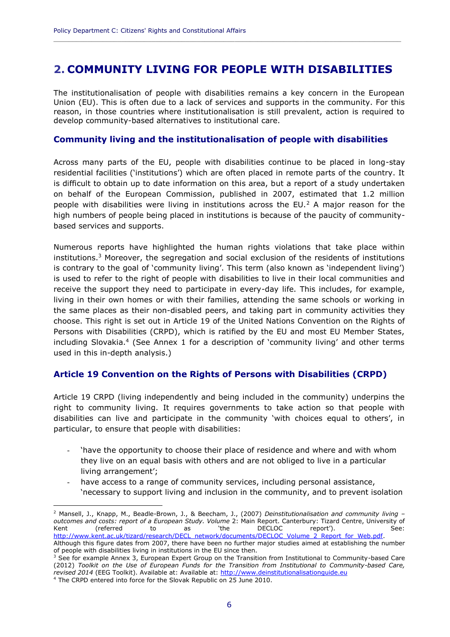## <span id="page-7-0"></span>**2. COMMUNITY LIVING FOR PEOPLE WITH DISABILITIES**

**\_\_\_\_\_\_\_\_\_\_\_\_\_\_\_\_\_\_\_\_\_\_\_\_\_\_\_\_\_\_\_\_\_\_\_\_\_\_\_\_\_\_\_\_\_\_\_\_\_\_\_\_\_\_\_\_\_\_\_\_\_\_\_\_\_\_\_\_\_\_\_\_\_\_\_\_\_\_\_\_\_\_\_\_\_\_\_\_\_\_\_\_**

The institutionalisation of people with disabilities remains a key concern in the European Union (EU). This is often due to a lack of services and supports in the community. For this reason, in those countries where institutionalisation is still prevalent, action is required to develop community-based alternatives to institutional care.

#### **Community living and the institutionalisation of people with disabilities**

Across many parts of the EU, people with disabilities continue to be placed in long-stay residential facilities ('institutions') which are often placed in remote parts of the country. It is difficult to obtain up to date information on this area, but a report of a study undertaken on behalf of the European Commission, published in 2007, estimated that 1.2 million people with disabilities were living in institutions across the EU. $<sup>2</sup>$  A major reason for the</sup> high numbers of people being placed in institutions is because of the paucity of communitybased services and supports.

Numerous reports have highlighted the human rights violations that take place within institutions.<sup>3</sup> Moreover, the segregation and social exclusion of the residents of institutions is contrary to the goal of 'community living'. This term (also known as 'independent living') is used to refer to the right of people with disabilities to live in their local communities and receive the support they need to participate in every-day life. This includes, for example, living in their own homes or with their families, attending the same schools or working in the same places as their non-disabled peers, and taking part in community activities they choose. This right is set out in Article 19 of the United Nations Convention on the Rights of Persons with Disabilities (CRPD), which is ratified by the EU and most EU Member States, including Slovakia.<sup>4</sup> (See Annex 1 for a description of 'community living' and other terms used in this in-depth analysis.)

#### **Article 19 Convention on the Rights of Persons with Disabilities (CRPD)**

Article 19 CRPD (living independently and being included in the community) underpins the right to community living. It requires governments to take action so that people with disabilities can live and participate in the community 'with choices equal to others', in particular, to ensure that people with disabilities:

- 'have the opportunity to choose their place of residence and where and with whom they live on an equal basis with others and are not obliged to live in a particular living arrangement';
- have access to a range of community services, including personal assistance, 'necessary to support living and inclusion in the community, and to prevent isolation

<sup>2</sup> Mansell, J., Knapp, M., Beadle-Brown, J., & Beecham, J., (2007) *Deinstitutionalisation and community living – outcomes and costs: report of a European Study. Volume* 2: Main Report. Canterbury: Tizard Centre, University of Kent (referred to as 'the DECLOC report'). See: [http://www.kent.ac.uk/tizard/research/DECL\\_network/documents/DECLOC\\_Volume\\_2\\_Report\\_for\\_Web.pdf.](http://www.kent.ac.uk/tizard/research/DECL_network/documents/DECLOC_Volume_2_Report_for_Web.pdf)

Although this figure dates from 2007, there have been no further major studies aimed at establishing the number of people with disabilities living in institutions in the EU since then.

<sup>&</sup>lt;sup>3</sup> See for example Annex 3, European Expert Group on the Transition from Institutional to Community-based Care (2012) *Toolkit on the Use of European Funds for the Transition from Institutional to Community-based Care, revised 2014* (EEG Toolkit). Available at: Available at: [http://www.deinstitutionalisationguide.eu](http://www.deinstitutionalisationguide.eu/) <sup>4</sup> The CRPD entered into force for the Slovak Republic on 25 June 2010.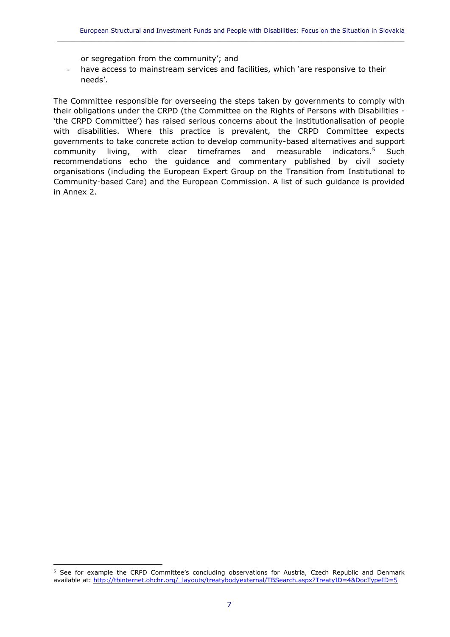or segregation from the community'; and

- have access to mainstream services and facilities, which 'are responsive to their needs'.

 $\_$  ,  $\_$  ,  $\_$  ,  $\_$  ,  $\_$  ,  $\_$  ,  $\_$  ,  $\_$  ,  $\_$  ,  $\_$  ,  $\_$  ,  $\_$  ,  $\_$  ,  $\_$  ,  $\_$  ,  $\_$  ,  $\_$  ,  $\_$  ,  $\_$  ,  $\_$  ,  $\_$  ,  $\_$  ,  $\_$  ,  $\_$  ,  $\_$  ,  $\_$  ,  $\_$  ,  $\_$  ,  $\_$  ,  $\_$  ,  $\_$  ,  $\_$  ,  $\_$  ,  $\_$  ,  $\_$  ,  $\_$  ,  $\_$  ,

The Committee responsible for overseeing the steps taken by governments to comply with their obligations under the CRPD (the Committee on the Rights of Persons with Disabilities - 'the CRPD Committee') has raised serious concerns about the institutionalisation of people with disabilities. Where this practice is prevalent, the CRPD Committee expects governments to take concrete action to develop community-based alternatives and support community living, with clear timeframes and measurable indicators.<sup>5</sup> Such recommendations echo the guidance and commentary published by civil society organisations (including the European Expert Group on the Transition from Institutional to Community-based Care) and the European Commission. A list of such guidance is provided in Annex 2.

<sup>&</sup>lt;sup>5</sup> See for example the CRPD Committee's concluding observations for Austria, Czech Republic and Denmark available at: [http://tbinternet.ohchr.org/\\_layouts/treatybodyexternal/TBSearch.aspx?TreatyID=4&DocTypeID=5](http://tbinternet.ohchr.org/_layouts/treatybodyexternal/TBSearch.aspx?TreatyID=4&DocTypeID=5)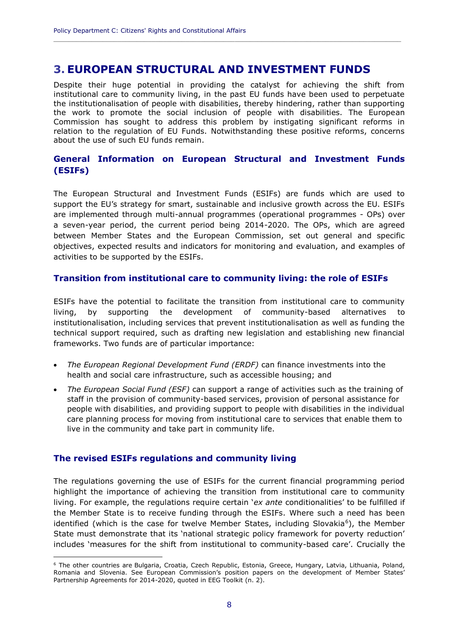### <span id="page-9-0"></span>**3. EUROPEAN STRUCTURAL AND INVESTMENT FUNDS**

Despite their huge potential in providing the catalyst for achieving the shift from institutional care to community living, in the past EU funds have been used to perpetuate the institutionalisation of people with disabilities, thereby hindering, rather than supporting the work to promote the social inclusion of people with disabilities. The European Commission has sought to address this problem by instigating significant reforms in relation to the regulation of EU Funds. Notwithstanding these positive reforms, concerns about the use of such EU funds remain.

**\_\_\_\_\_\_\_\_\_\_\_\_\_\_\_\_\_\_\_\_\_\_\_\_\_\_\_\_\_\_\_\_\_\_\_\_\_\_\_\_\_\_\_\_\_\_\_\_\_\_\_\_\_\_\_\_\_\_\_\_\_\_\_\_\_\_\_\_\_\_\_\_\_\_\_\_\_\_\_\_\_\_\_\_\_\_\_\_\_\_\_\_**

#### **General Information on European Structural and Investment Funds (ESIFs)**

The European Structural and Investment Funds (ESIFs) are funds which are used to support the EU's strategy for smart, sustainable and inclusive growth across the EU. ESIFs are implemented through multi-annual programmes (operational programmes - OPs) over a seven-year period, the current period being 2014-2020. The OPs, which are agreed between Member States and the European Commission, set out general and specific objectives, expected results and indicators for monitoring and evaluation, and examples of activities to be supported by the ESIFs.

#### **Transition from institutional care to community living: the role of ESIFs**

ESIFs have the potential to facilitate the transition from institutional care to community living, by supporting the development of community-based alternatives institutionalisation, including services that prevent institutionalisation as well as funding the technical support required, such as drafting new legislation and establishing new financial frameworks. Two funds are of particular importance:

- *The European Regional Development Fund (ERDF)* can finance investments into the health and social care infrastructure, such as accessible housing; and
- *The European Social Fund (ESF)* can support a range of activities such as the training of staff in the provision of community-based services, provision of personal assistance for people with disabilities, and providing support to people with disabilities in the individual care planning process for moving from institutional care to services that enable them to live in the community and take part in community life.

#### **The revised ESIFs regulations and community living**

 $\overline{a}$ 

The regulations governing the use of ESIFs for the current financial programming period highlight the importance of achieving the transition from institutional care to community living. For example, the regulations require certain '*ex ante* conditionalities' to be fulfilled if the Member State is to receive funding through the ESIFs. Where such a need has been identified (which is the case for twelve Member States, including Slovakia<sup>6</sup>), the Member State must demonstrate that its 'national strategic policy framework for poverty reduction' includes 'measures for the shift from institutional to community-based care'. Crucially the

<sup>6</sup> The other countries are Bulgaria, Croatia, Czech Republic, Estonia, Greece, Hungary, Latvia, Lithuania, Poland, Romania and Slovenia. See European Commission's position papers on the development of Member States' Partnership Agreements for 2014-2020, quoted in EEG Toolkit (n. 2).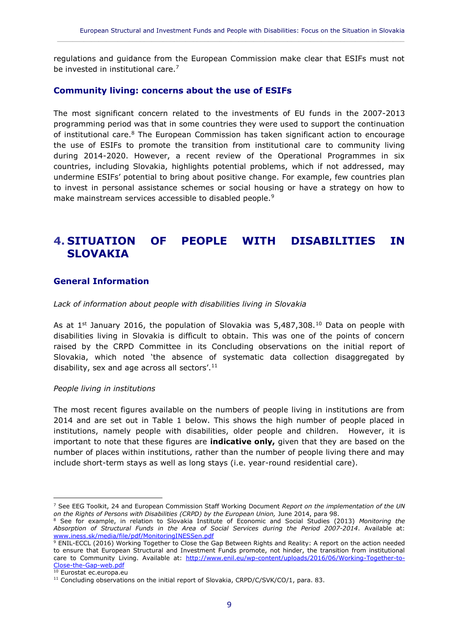regulations and guidance from the European Commission make clear that ESIFs must not be invested in institutional care.<sup>7</sup>

 $\_$  ,  $\_$  ,  $\_$  ,  $\_$  ,  $\_$  ,  $\_$  ,  $\_$  ,  $\_$  ,  $\_$  ,  $\_$  ,  $\_$  ,  $\_$  ,  $\_$  ,  $\_$  ,  $\_$  ,  $\_$  ,  $\_$  ,  $\_$  ,  $\_$  ,  $\_$  ,  $\_$  ,  $\_$  ,  $\_$  ,  $\_$  ,  $\_$  ,  $\_$  ,  $\_$  ,  $\_$  ,  $\_$  ,  $\_$  ,  $\_$  ,  $\_$  ,  $\_$  ,  $\_$  ,  $\_$  ,  $\_$  ,  $\_$  ,

#### **Community living: concerns about the use of ESIFs**

The most significant concern related to the investments of EU funds in the 2007-2013 programming period was that in some countries they were used to support the continuation of institutional care.<sup>8</sup> The European Commission has taken significant action to encourage the use of ESIFs to promote the transition from institutional care to community living during 2014-2020. However, a recent review of the Operational Programmes in six countries, including Slovakia, highlights potential problems, which if not addressed, may undermine ESIFs' potential to bring about positive change. For example, few countries plan to invest in personal assistance schemes or social housing or have a strategy on how to make mainstream services accessible to disabled people.<sup>9</sup>

## <span id="page-10-0"></span>**4. SITUATION OF PEOPLE WITH DISABILITIES IN SLOVAKIA**

#### **General Information**

*Lack of information about people with disabilities living in Slovakia* 

As at  $1^{st}$  January 2016, the population of Slovakia was 5,487,308.<sup>10</sup> Data on people with disabilities living in Slovakia is difficult to obtain. This was one of the points of concern raised by the CRPD Committee in its Concluding observations on the initial report of Slovakia, which noted 'the absence of systematic data collection disaggregated by disability, sex and age across all sectors'.<sup>11</sup>

#### *People living in institutions*

The most recent figures available on the numbers of people living in institutions are from 2014 and are set out in Table 1 below. This shows the high number of people placed in institutions, namely people with disabilities, older people and children. However, it is important to note that these figures are **indicative only,** given that they are based on the number of places within institutions, rather than the number of people living there and may include short-term stays as well as long stays (i.e. year-round residential care).

<sup>7</sup> See EEG Toolkit, 24 and European Commission Staff Working Document *Report on the implementation of the UN on the Rights of Persons with Disabilities (CRPD) by the European Union,* June 2014, para 98.

<sup>8</sup> See for example, in relation to Slovakia Institute of Economic and Social Studies (2013) *Monitoring the Absorption of Structural Funds in the Area of Social Services during the Period 2007-2014*. Available at: [www.iness.sk/media/file/pdf/MonitoringINESSen.pdf](http://www.iness.sk/media/file/pdf/MonitoringINESSen.pdf)

<sup>9</sup> ENIL-ECCL (2016) Working Together to Close the Gap Between Rights and Reality: A report on the action needed to ensure that European Structural and Investment Funds promote, not hinder, the transition from institutional care to Community Living. Available at: [http://www.enil.eu/wp-content/uploads/2016/06/Working-Together-to-](http://www.enil.eu/wp-content/uploads/2016/06/Working-Together-to-Close-the-Gap-web.pdf)[Close-the-Gap-web.pdf](http://www.enil.eu/wp-content/uploads/2016/06/Working-Together-to-Close-the-Gap-web.pdf)

 $10$  Eurostat ec.europa.eu

<sup>&</sup>lt;sup>11</sup> Concluding observations on the initial report of Slovakia, CRPD/C/SVK/CO/1, para. 83.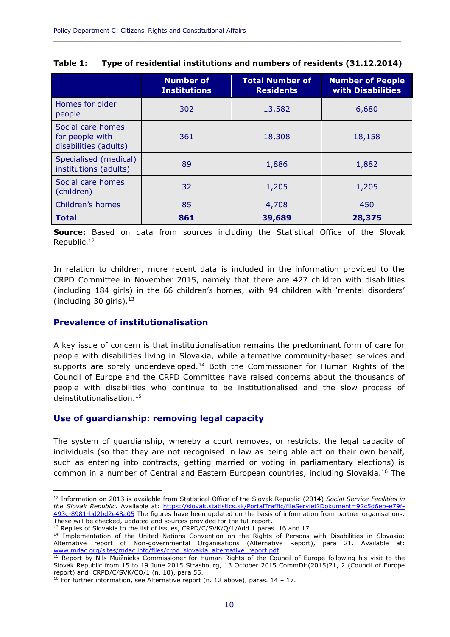|                                                               | <b>Number of</b><br><b>Institutions</b> | <b>Total Number of</b><br><b>Residents</b> | <b>Number of People</b><br>with Disabilities |
|---------------------------------------------------------------|-----------------------------------------|--------------------------------------------|----------------------------------------------|
| Homes for older<br>people                                     | 302                                     | 13,582                                     | 6,680                                        |
| Social care homes<br>for people with<br>disabilities (adults) | 361                                     | 18,308                                     | 18,158                                       |
| Specialised (medical)<br>institutions (adults)                | 89                                      | 1,886                                      | 1,882                                        |
| Social care homes<br>(children)                               | 32                                      | 1,205                                      | 1,205                                        |
| Children's homes                                              | 85                                      | 4,708                                      | 450                                          |
| <b>Total</b>                                                  | 861                                     | 39,689                                     | 28,375                                       |

**Table 1: Type of residential institutions and numbers of residents (31.12.2014)**

**\_\_\_\_\_\_\_\_\_\_\_\_\_\_\_\_\_\_\_\_\_\_\_\_\_\_\_\_\_\_\_\_\_\_\_\_\_\_\_\_\_\_\_\_\_\_\_\_\_\_\_\_\_\_\_\_\_\_\_\_\_\_\_\_\_\_\_\_\_\_\_\_\_\_\_\_\_\_\_\_\_\_\_\_\_\_\_\_\_\_\_\_**

**Source:** Based on data from sources including the Statistical Office of the Slovak Republic.<sup>12</sup>

In relation to children, more recent data is included in the information provided to the CRPD Committee in November 2015, namely that there are 427 children with disabilities (including 184 girls) in the 66 children's homes, with 94 children with 'mental disorders' (including 30 girls). $13$ 

#### **Prevalence of institutionalisation**

 $\overline{a}$ 

A key issue of concern is that institutionalisation remains the predominant form of care for people with disabilities living in Slovakia, while alternative community-based services and supports are sorely underdeveloped.<sup>14</sup> Both the Commissioner for Human Rights of the Council of Europe and the CRPD Committee have raised concerns about the thousands of people with disabilities who continue to be institutionalised and the slow process of deinstitutionalisation.<sup>15</sup>

#### **Use of guardianship: removing legal capacity**

The system of guardianship, whereby a court removes, or restricts, the legal capacity of individuals (so that they are not recognised in law as being able act on their own behalf, such as entering into contracts, getting married or voting in parliamentary elections) is common in a number of Central and Eastern European countries, including Slovakia.<sup>16</sup> The

 $13$  Replies of Slovakia to the list of issues, CRPD/C/SVK/Q/1/Add.1 paras. 16 and 17.

<sup>12</sup> Information on 2013 is available from Statistical Office of the Slovak Republic (2014) *Social Service Facilities in the Slovak Republic*. Available at: [https://slovak.statistics.sk/PortalTraffic/fileServlet?Dokument=92c5d6eb-e79f-](https://slovak.statistics.sk/PortalTraffic/fileServlet?Dokument=92c5d6eb-e79f-493c-8981-bd2bd2e48a05)[493c-8981-bd2bd2e48a05](https://slovak.statistics.sk/PortalTraffic/fileServlet?Dokument=92c5d6eb-e79f-493c-8981-bd2bd2e48a05) The figures have been updated on the basis of information from partner organisations. These will be checked, updated and sources provided for the full report.

<sup>14</sup> Implementation of the United Nations Convention on the Rights of Persons with Disabilities in Slovakia: Alternative report of Non-governmental Organisations (Alternative Report), para 21. Available at: [www.mdac.org/sites/mdac.info/files/crpd\\_slovakia\\_alternative\\_report.pdf.](http://www.mdac.org/sites/mdac.info/files/crpd_slovakia_alternative_report.pdf)

<sup>&</sup>lt;sup>15</sup> Report by Nils Muižnieks Commissioner for Human Rights of the Council of Europe following his visit to the Slovak Republic from 15 to 19 June 2015 Strasbourg, 13 October 2015 CommDH(2015)21, 2 (Council of Europe report) and CRPD/C/SVK/CO/1 (n. 10), para 55.

<sup>&</sup>lt;sup>16</sup> For further information, see Alternative report (n. 12 above), paras.  $14 - 17$ .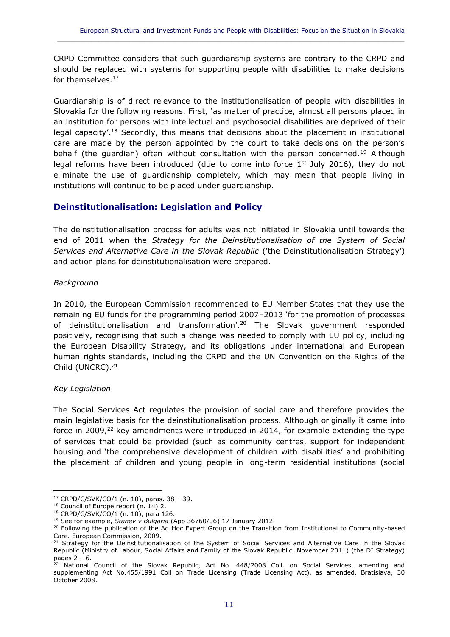CRPD Committee considers that such guardianship systems are contrary to the CRPD and should be replaced with systems for supporting people with disabilities to make decisions for themselves.<sup>17</sup>

 $\_$  ,  $\_$  ,  $\_$  ,  $\_$  ,  $\_$  ,  $\_$  ,  $\_$  ,  $\_$  ,  $\_$  ,  $\_$  ,  $\_$  ,  $\_$  ,  $\_$  ,  $\_$  ,  $\_$  ,  $\_$  ,  $\_$  ,  $\_$  ,  $\_$  ,  $\_$  ,  $\_$  ,  $\_$  ,  $\_$  ,  $\_$  ,  $\_$  ,  $\_$  ,  $\_$  ,  $\_$  ,  $\_$  ,  $\_$  ,  $\_$  ,  $\_$  ,  $\_$  ,  $\_$  ,  $\_$  ,  $\_$  ,  $\_$  ,

Guardianship is of direct relevance to the institutionalisation of people with disabilities in Slovakia for the following reasons. First, 'as matter of practice, almost all persons placed in an institution for persons with intellectual and psychosocial disabilities are deprived of their legal capacity'.<sup>18</sup> Secondly, this means that decisions about the placement in institutional care are made by the person appointed by the court to take decisions on the person's behalf (the quardian) often without consultation with the person concerned.<sup>19</sup> Although legal reforms have been introduced (due to come into force  $1<sup>st</sup>$  July 2016), they do not eliminate the use of guardianship completely, which may mean that people living in institutions will continue to be placed under guardianship.

#### **Deinstitutionalisation: Legislation and Policy**

The deinstitutionalisation process for adults was not initiated in Slovakia until towards the end of 2011 when the *Strategy for the Deinstitutionalisation of the System of Social Services and Alternative Care in the Slovak Republic* ('the Deinstitutionalisation Strategy') and action plans for deinstitutionalisation were prepared.

#### *Background*

In 2010, the European Commission recommended to EU Member States that they use the remaining EU funds for the programming period 2007–2013 'for the promotion of processes of deinstitutionalisation and transformation'.<sup>20</sup> The Slovak government responded positively, recognising that such a change was needed to comply with EU policy, including the European Disability Strategy, and its obligations under international and European human rights standards, including the CRPD and the UN Convention on the Rights of the Child (UNCRC).<sup>21</sup>

#### *Key Legislation*

The Social Services Act regulates the provision of social care and therefore provides the main legislative basis for the deinstitutionalisation process. Although originally it came into force in 2009, $^{22}$  key amendments were introduced in 2014, for example extending the type of services that could be provided (such as community centres, support for independent housing and 'the comprehensive development of children with disabilities' and prohibiting the placement of children and young people in long-term residential institutions (social

 $\overline{a}$ <sup>17</sup> CRPD/C/SVK/CO/1 (n. 10), paras. 38 – 39.

<sup>&</sup>lt;sup>18</sup> Council of Europe report (n. 14) 2.

<sup>18</sup> CRPD/C/SVK/CO/1 (n. 10), para 126.

<sup>19</sup> See for example, *Stanev v Bulgaria* (App 36760/06) 17 January 2012.

<sup>&</sup>lt;sup>20</sup> Following the publication of the Ad Hoc Expert Group on the Transition from Institutional to Community-based Care. European Commission, 2009.

<sup>&</sup>lt;sup>21</sup> Strategy for the Deinstitutionalisation of the System of Social Services and Alternative Care in the Slovak Republic (Ministry of Labour, Social Affairs and Family of the Slovak Republic, November 2011) (the DI Strategy) pages 2 – 6.

 $22$  National Council of the Slovak Republic, Act No. 448/2008 Coll. on Social Services, amending and supplementing Act No.455/1991 Coll on Trade Licensing (Trade Licensing Act), as amended. Bratislava, 30 October 2008.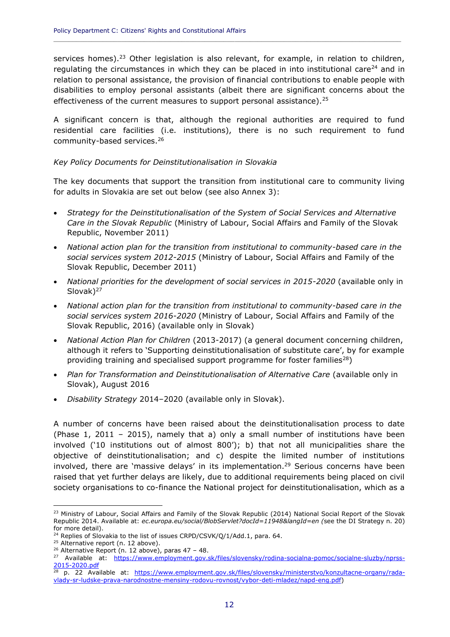services homes).<sup>23</sup> Other legislation is also relevant, for example, in relation to children, regulating the circumstances in which they can be placed in into institutional care<sup>24</sup> and in relation to personal assistance, the provision of financial contributions to enable people with disabilities to employ personal assistants (albeit there are significant concerns about the effectiveness of the current measures to support personal assistance).  $25$ 

**\_\_\_\_\_\_\_\_\_\_\_\_\_\_\_\_\_\_\_\_\_\_\_\_\_\_\_\_\_\_\_\_\_\_\_\_\_\_\_\_\_\_\_\_\_\_\_\_\_\_\_\_\_\_\_\_\_\_\_\_\_\_\_\_\_\_\_\_\_\_\_\_\_\_\_\_\_\_\_\_\_\_\_\_\_\_\_\_\_\_\_\_**

A significant concern is that, although the regional authorities are required to fund residential care facilities (i.e. institutions), there is no such requirement to fund community-based services.<sup>26</sup>

#### *Key Policy Documents for Deinstitutionalisation in Slovakia*

The key documents that support the transition from institutional care to community living for adults in Slovakia are set out below (see also Annex 3):

- *Strategy for the Deinstitutionalisation of the System of Social Services and Alternative Care in the Slovak Republic* (Ministry of Labour, Social Affairs and Family of the Slovak Republic, November 2011)
- *National action plan for the transition from institutional to community-based care in the social services system 2012-2015* (Ministry of Labour, Social Affairs and Family of the Slovak Republic, December 2011)
- *National priorities for the development of social services in 2015-2020* (available only in Slovak)<sup>27</sup>
- *National action plan for the transition from institutional to community-based care in the social services system 2016-2020* (Ministry of Labour, Social Affairs and Family of the Slovak Republic, 2016) (available only in Slovak)
- *National Action Plan for Children* (2013-2017) (a general document concerning children, although it refers to 'Supporting deinstitutionalisation of substitute care', by for example providing training and specialised support programme for foster families<sup>28</sup>)
- *Plan for Transformation and Deinstitutionalisation of Alternative Care (available only in* Slovak), August 2016
- *Disability Strategy* 2014–2020 (available only in Slovak).

A number of concerns have been raised about the deinstitutionalisation process to date (Phase 1, 2011 – 2015), namely that a) only a small number of institutions have been involved ('10 institutions out of almost 800'); b) that not all municipalities share the objective of deinstitutionalisation; and c) despite the limited number of institutions involved, there are 'massive delays' in its implementation.<sup>29</sup> Serious concerns have been raised that yet further delays are likely, due to additional requirements being placed on civil society organisations to co-finance the National project for deinstitutionalisation, which as a

<sup>&</sup>lt;sup>23</sup> Ministry of Labour, Social Affairs and Family of the Slovak Republic (2014) National Social Report of the Slovak Republic 2014. Available at: *ec.europa.eu/social/BlobServlet?docId=11948&langId=en (*see the DI Strategy n. 20) for more detail).

<sup>&</sup>lt;sup>24</sup> Replies of Slovakia to the list of issues CRPD/CSVK/Q/1/Add.1, para. 64.

<sup>&</sup>lt;sup>25</sup> Alternative report (n. 12 above).

 $26$  Alternative Report (n. 12 above), paras 47 - 48.

<sup>&</sup>lt;sup>27</sup> Available at: [https://www.employment.gov.sk/files/slovensky/rodina-socialna-pomoc/socialne-sluzby/nprss-](https://www.employment.gov.sk/files/slovensky/rodina-socialna-pomoc/socialne-sluzby/nprss-2015-2020.pdf)[2015-2020.pdf](https://www.employment.gov.sk/files/slovensky/rodina-socialna-pomoc/socialne-sluzby/nprss-2015-2020.pdf)

<sup>&</sup>lt;sup>28</sup> p. 22 Available at: [https://www.employment.gov.sk/files/slovensky/ministerstvo/konzultacne-organy/rada](https://www.employment.gov.sk/files/slovensky/ministerstvo/konzultacne-organy/rada-vlady-sr-ludske-prava-narodnostne-mensiny-rodovu-rovnost/vybor-deti-mladez/napd-eng.pdf)[vlady-sr-ludske-prava-narodnostne-mensiny-rodovu-rovnost/vybor-deti-mladez/napd-eng.pdf\)](https://www.employment.gov.sk/files/slovensky/ministerstvo/konzultacne-organy/rada-vlady-sr-ludske-prava-narodnostne-mensiny-rodovu-rovnost/vybor-deti-mladez/napd-eng.pdf)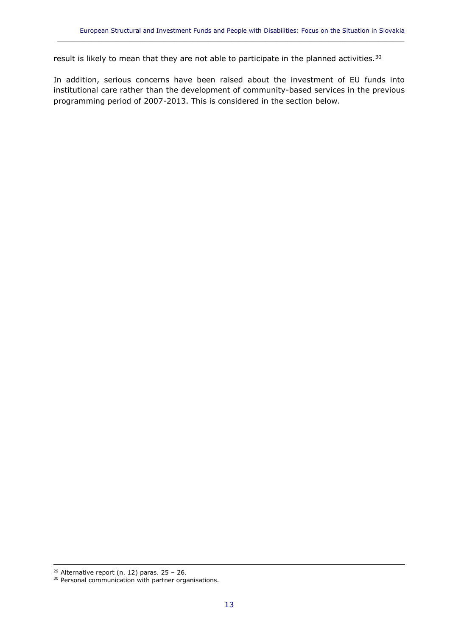result is likely to mean that they are not able to participate in the planned activities.<sup>30</sup>

In addition, serious concerns have been raised about the investment of EU funds into institutional care rather than the development of community-based services in the previous programming period of 2007-2013. This is considered in the section below.

 $\_$  ,  $\_$  ,  $\_$  ,  $\_$  ,  $\_$  ,  $\_$  ,  $\_$  ,  $\_$  ,  $\_$  ,  $\_$  ,  $\_$  ,  $\_$  ,  $\_$  ,  $\_$  ,  $\_$  ,  $\_$  ,  $\_$  ,  $\_$  ,  $\_$  ,  $\_$  ,  $\_$  ,  $\_$  ,  $\_$  ,  $\_$  ,  $\_$  ,  $\_$  ,  $\_$  ,  $\_$  ,  $\_$  ,  $\_$  ,  $\_$  ,  $\_$  ,  $\_$  ,  $\_$  ,  $\_$  ,  $\_$  ,  $\_$  ,

 $29$  Alternative report (n. 12) paras. 25 - 26.

<sup>&</sup>lt;sup>30</sup> Personal communication with partner organisations.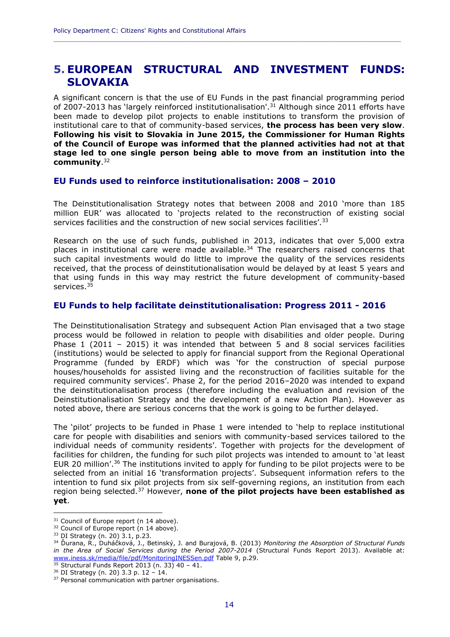## <span id="page-15-0"></span>**5. EUROPEAN STRUCTURAL AND INVESTMENT FUNDS: SLOVAKIA**

**\_\_\_\_\_\_\_\_\_\_\_\_\_\_\_\_\_\_\_\_\_\_\_\_\_\_\_\_\_\_\_\_\_\_\_\_\_\_\_\_\_\_\_\_\_\_\_\_\_\_\_\_\_\_\_\_\_\_\_\_\_\_\_\_\_\_\_\_\_\_\_\_\_\_\_\_\_\_\_\_\_\_\_\_\_\_\_\_\_\_\_\_**

A significant concern is that the use of EU Funds in the past financial programming period of 2007-2013 has 'largely reinforced institutionalisation'.<sup>31</sup> Although since 2011 efforts have been made to develop pilot projects to enable institutions to transform the provision of institutional care to that of community-based services, **the process has been very slow**. **Following his visit to Slovakia in June 2015, the Commissioner for Human Rights of the Council of Europe was informed that the planned activities had not at that stage led to one single person being able to move from an institution into the community**. 32

#### **EU Funds used to reinforce institutionalisation: 2008 – 2010**

The Deinstitutionalisation Strategy notes that between 2008 and 2010 'more than 185 million EUR' was allocated to 'projects related to the reconstruction of existing social services facilities and the construction of new social services facilities'.<sup>33</sup>

Research on the use of such funds, published in 2013, indicates that over 5,000 extra places in institutional care were made available. $34$  The researchers raised concerns that such capital investments would do little to improve the quality of the services residents received, that the process of deinstitutionalisation would be delayed by at least 5 years and that using funds in this way may restrict the future development of community-based services.<sup>35</sup>

#### **EU Funds to help facilitate deinstitutionalisation: Progress 2011 - 2016**

The Deinstitutionalisation Strategy and subsequent Action Plan envisaged that a two stage process would be followed in relation to people with disabilities and older people. During Phase 1 (2011 – 2015) it was intended that between 5 and 8 social services facilities (institutions) would be selected to apply for financial support from the Regional Operational Programme (funded by ERDF) which was 'for the construction of special purpose houses/households for assisted living and the reconstruction of facilities suitable for the required community services'. Phase 2, for the period 2016–2020 was intended to expand the deinstitutionalisation process (therefore including the evaluation and revision of the Deinstitutionalisation Strategy and the development of a new Action Plan). However as noted above, there are serious concerns that the work is going to be further delayed.

The 'pilot' projects to be funded in Phase 1 were intended to 'help to replace institutional care for people with disabilities and seniors with community-based services tailored to the individual needs of community residents'. Together with projects for the development of facilities for children, the funding for such pilot projects was intended to amount to 'at least EUR 20 million'.<sup>36</sup> The institutions invited to apply for funding to be pilot projects were to be selected from an initial 16 'transformation projects'. Subsequent information refers to the intention to fund six pilot projects from six self-governing regions, an institution from each region being selected.<sup>37</sup> However, **none of the pilot projects have been established as yet**.

<sup>&</sup>lt;sup>31</sup> Council of Europe report (n 14 above).

<sup>&</sup>lt;sup>32</sup> Council of Europe report (n 14 above).

<sup>33</sup> DI Strategy (n. 20) 3.1, p.23.

<sup>34</sup> Ďurana, R., Duháčková, J., Betinský, J. and Burajová, B. (2013) *Monitoring the Absorption of Structural Funds in the Area of Social Services during the Period 2007-2014* (Structural Funds Report 2013). Available at: [www.iness.sk/media/file/pdf/MonitoringINESSen.pdf](http://www.iness.sk/media/file/pdf/MonitoringINESSen.pdf) Table 9, p.29.

 $35$  Structural Funds Report 2013 (n. 33) 40 - 41.

<sup>36</sup> DI Strategy (n. 20) 3.3 p. 12 – 14.

<sup>&</sup>lt;sup>37</sup> Personal communication with partner organisations.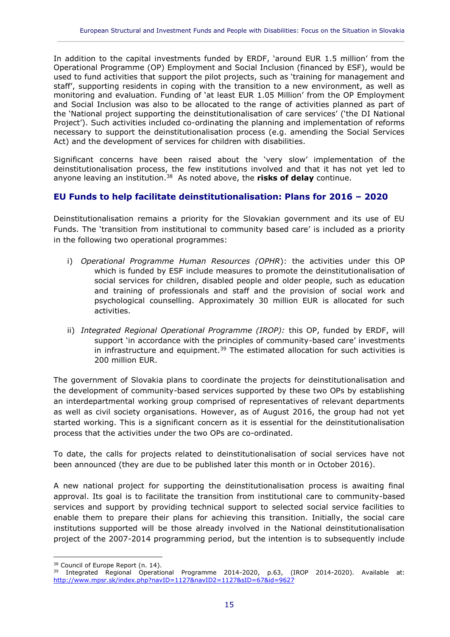In addition to the capital investments funded by ERDF, 'around EUR 1.5 million' from the Operational Programme (OP) Employment and Social Inclusion (financed by ESF), would be used to fund activities that support the pilot projects, such as 'training for management and staff', supporting residents in coping with the transition to a new environment, as well as monitoring and evaluation. Funding of 'at least EUR 1.05 Million' from the OP Employment and Social Inclusion was also to be allocated to the range of activities planned as part of the 'National project supporting the deinstitutionalisation of care services' ('the DI National Project'). Such activities included co-ordinating the planning and implementation of reforms necessary to support the deinstitutionalisation process (e.g. amending the Social Services Act) and the development of services for children with disabilities.

 $\_$  ,  $\_$  ,  $\_$  ,  $\_$  ,  $\_$  ,  $\_$  ,  $\_$  ,  $\_$  ,  $\_$  ,  $\_$  ,  $\_$  ,  $\_$  ,  $\_$  ,  $\_$  ,  $\_$  ,  $\_$  ,  $\_$  ,  $\_$  ,  $\_$  ,  $\_$  ,  $\_$  ,  $\_$  ,  $\_$  ,  $\_$  ,  $\_$  ,  $\_$  ,  $\_$  ,  $\_$  ,  $\_$  ,  $\_$  ,  $\_$  ,  $\_$  ,  $\_$  ,  $\_$  ,  $\_$  ,  $\_$  ,  $\_$  ,

Significant concerns have been raised about the 'very slow' implementation of the deinstitutionalisation process, the few institutions involved and that it has not yet led to anyone leaving an institution.<sup>38</sup> As noted above, the **risks of delay** continue.

#### **EU Funds to help facilitate deinstitutionalisation: Plans for 2016 – 2020**

Deinstitutionalisation remains a priority for the Slovakian government and its use of EU Funds. The 'transition from institutional to community based care' is included as a priority in the following two operational programmes:

- i) *Operational Programme Human Resources (OPHR*): the activities under this OP which is funded by ESF include measures to promote the deinstitutionalisation of social services for children, disabled people and older people, such as education and training of professionals and staff and the provision of social work and psychological counselling. Approximately 30 million EUR is allocated for such activities.
- ii) *Integrated Regional Operational Programme (IROP):* this OP, funded by ERDF, will support 'in accordance with the principles of community-based care' investments in infrastructure and equipment.<sup>39</sup> The estimated allocation for such activities is 200 million EUR.

The government of Slovakia plans to coordinate the projects for deinstitutionalisation and the development of community-based services supported by these two OPs by establishing an interdepartmental working group comprised of representatives of relevant departments as well as civil society organisations. However, as of August 2016, the group had not yet started working. This is a significant concern as it is essential for the deinstitutionalisation process that the activities under the two OPs are co-ordinated.

To date, the calls for projects related to deinstitutionalisation of social services have not been announced (they are due to be published later this month or in October 2016).

A new national project for supporting the deinstitutionalisation process is awaiting final approval. Its goal is to facilitate the transition from institutional care to community-based services and support by providing technical support to selected social service facilities to enable them to prepare their plans for achieving this transition. Initially, the social care institutions supported will be those already involved in the National deinstitutionalisation project of the 2007-2014 programming period, but the intention is to subsequently include

<sup>&</sup>lt;sup>38</sup> Council of Europe Report (n. 14).

<sup>&</sup>lt;sup>39</sup> Integrated Regional Operational Programme 2014-2020, p.63, (IROP 2014-2020). Available at: <http://www.mpsr.sk/index.php?navID=1127&navID2=1127&sID=67&id=9627>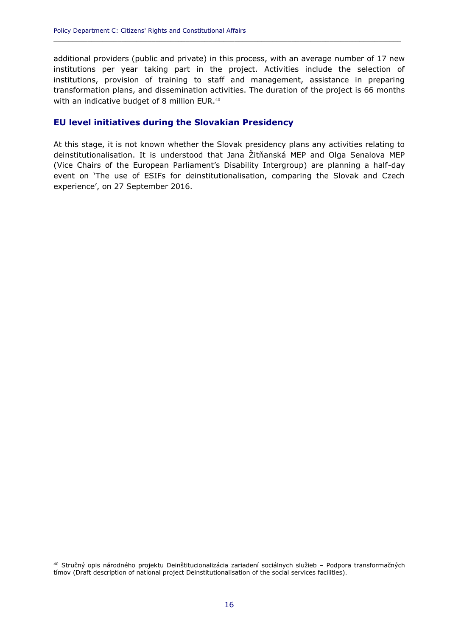additional providers (public and private) in this process, with an average number of 17 new institutions per year taking part in the project. Activities include the selection of institutions, provision of training to staff and management, assistance in preparing transformation plans, and dissemination activities. The duration of the project is 66 months with an indicative budget of 8 million EUR.<sup>40</sup>

**\_\_\_\_\_\_\_\_\_\_\_\_\_\_\_\_\_\_\_\_\_\_\_\_\_\_\_\_\_\_\_\_\_\_\_\_\_\_\_\_\_\_\_\_\_\_\_\_\_\_\_\_\_\_\_\_\_\_\_\_\_\_\_\_\_\_\_\_\_\_\_\_\_\_\_\_\_\_\_\_\_\_\_\_\_\_\_\_\_\_\_\_**

#### **EU level initiatives during the Slovakian Presidency**

At this stage, it is not known whether the Slovak presidency plans any activities relating to deinstitutionalisation. It is understood that Jana Žitňanská MEP and Olga Senalova MEP (Vice Chairs of the European Parliament's Disability Intergroup) are planning a half-day event on 'The use of ESIFs for deinstitutionalisation, comparing the Slovak and Czech experience', on 27 September 2016.

<sup>40</sup> Stručný opis národného projektu Deinštitucionalizácia zariadení sociálnych služieb – Podpora transformačných tímov (Draft description of national project Deinstitutionalisation of the social services facilities).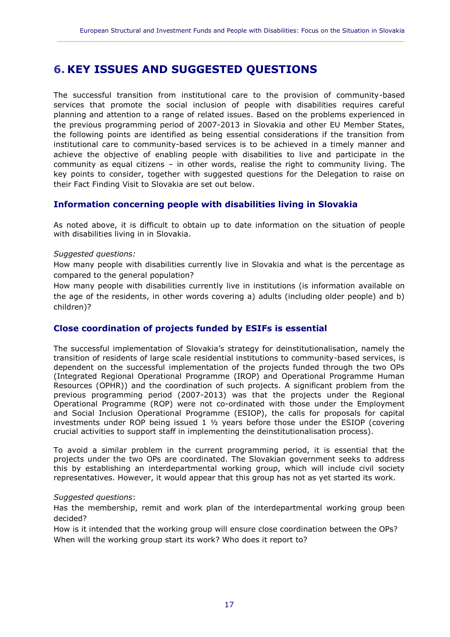$\_$  ,  $\_$  ,  $\_$  ,  $\_$  ,  $\_$  ,  $\_$  ,  $\_$  ,  $\_$  ,  $\_$  ,  $\_$  ,  $\_$  ,  $\_$  ,  $\_$  ,  $\_$  ,  $\_$  ,  $\_$  ,  $\_$  ,  $\_$  ,  $\_$  ,  $\_$  ,  $\_$  ,  $\_$  ,  $\_$  ,  $\_$  ,  $\_$  ,  $\_$  ,  $\_$  ,  $\_$  ,  $\_$  ,  $\_$  ,  $\_$  ,  $\_$  ,  $\_$  ,  $\_$  ,  $\_$  ,  $\_$  ,  $\_$  ,

## <span id="page-18-0"></span>**6. KEY ISSUES AND SUGGESTED QUESTIONS**

The successful transition from institutional care to the provision of community-based services that promote the social inclusion of people with disabilities requires careful planning and attention to a range of related issues. Based on the problems experienced in the previous programming period of 2007-2013 in Slovakia and other EU Member States, the following points are identified as being essential considerations if the transition from institutional care to community-based services is to be achieved in a timely manner and achieve the objective of enabling people with disabilities to live and participate in the community as equal citizens – in other words, realise the right to community living. The key points to consider, together with suggested questions for the Delegation to raise on their Fact Finding Visit to Slovakia are set out below.

#### **Information concerning people with disabilities living in Slovakia**

As noted above, it is difficult to obtain up to date information on the situation of people with disabilities living in in Slovakia.

#### *Suggested questions:*

How many people with disabilities currently live in Slovakia and what is the percentage as compared to the general population?

How many people with disabilities currently live in institutions (is information available on the age of the residents, in other words covering a) adults (including older people) and b) children)?

#### **Close coordination of projects funded by ESIFs is essential**

The successful implementation of Slovakia's strategy for deinstitutionalisation, namely the transition of residents of large scale residential institutions to community-based services, is dependent on the successful implementation of the projects funded through the two OPs (Integrated Regional Operational Programme (IROP) and Operational Programme Human Resources (OPHR)) and the coordination of such projects. A significant problem from the previous programming period (2007-2013) was that the projects under the Regional Operational Programme (ROP) were not co-ordinated with those under the Employment and Social Inclusion Operational Programme (ESIOP), the calls for proposals for capital investments under ROP being issued  $1 \frac{1}{2}$  years before those under the ESIOP (covering crucial activities to support staff in implementing the deinstitutionalisation process).

To avoid a similar problem in the current programming period, it is essential that the projects under the two OPs are coordinated. The Slovakian government seeks to address this by establishing an interdepartmental working group, which will include civil society representatives. However, it would appear that this group has not as yet started its work.

#### *Suggested questions*:

Has the membership, remit and work plan of the interdepartmental working group been decided?

How is it intended that the working group will ensure close coordination between the OPs? When will the working group start its work? Who does it report to?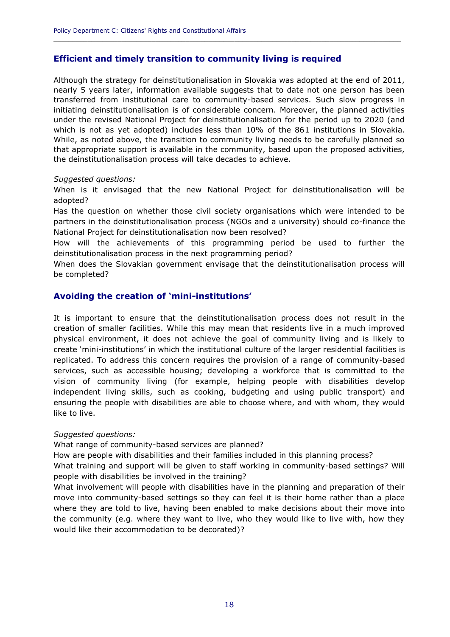#### **Efficient and timely transition to community living is required**

Although the strategy for deinstitutionalisation in Slovakia was adopted at the end of 2011, nearly 5 years later, information available suggests that to date not one person has been transferred from institutional care to community-based services. Such slow progress in initiating deinstitutionalisation is of considerable concern. Moreover, the planned activities under the revised National Project for deinstitutionalisation for the period up to 2020 (and which is not as yet adopted) includes less than 10% of the 861 institutions in Slovakia. While, as noted above, the transition to community living needs to be carefully planned so that appropriate support is available in the community, based upon the proposed activities, the deinstitutionalisation process will take decades to achieve.

**\_\_\_\_\_\_\_\_\_\_\_\_\_\_\_\_\_\_\_\_\_\_\_\_\_\_\_\_\_\_\_\_\_\_\_\_\_\_\_\_\_\_\_\_\_\_\_\_\_\_\_\_\_\_\_\_\_\_\_\_\_\_\_\_\_\_\_\_\_\_\_\_\_\_\_\_\_\_\_\_\_\_\_\_\_\_\_\_\_\_\_\_**

#### *Suggested questions:*

When is it envisaged that the new National Project for deinstitutionalisation will be adopted?

Has the question on whether those civil society organisations which were intended to be partners in the deinstitutionalisation process (NGOs and a university) should co-finance the National Project for deinstitutionalisation now been resolved?

How will the achievements of this programming period be used to further the deinstitutionalisation process in the next programming period?

When does the Slovakian government envisage that the deinstitutionalisation process will be completed?

#### **Avoiding the creation of 'mini-institutions'**

It is important to ensure that the deinstitutionalisation process does not result in the creation of smaller facilities. While this may mean that residents live in a much improved physical environment, it does not achieve the goal of community living and is likely to create 'mini-institutions' in which the institutional culture of the larger residential facilities is replicated. To address this concern requires the provision of a range of community-based services, such as accessible housing; developing a workforce that is committed to the vision of community living (for example, helping people with disabilities develop independent living skills, such as cooking, budgeting and using public transport) and ensuring the people with disabilities are able to choose where, and with whom, they would like to live.

#### *Suggested questions:*

What range of community-based services are planned?

How are people with disabilities and their families included in this planning process?

What training and support will be given to staff working in community-based settings? Will people with disabilities be involved in the training?

What involvement will people with disabilities have in the planning and preparation of their move into community-based settings so they can feel it is their home rather than a place where they are told to live, having been enabled to make decisions about their move into the community (e.g. where they want to live, who they would like to live with, how they would like their accommodation to be decorated)?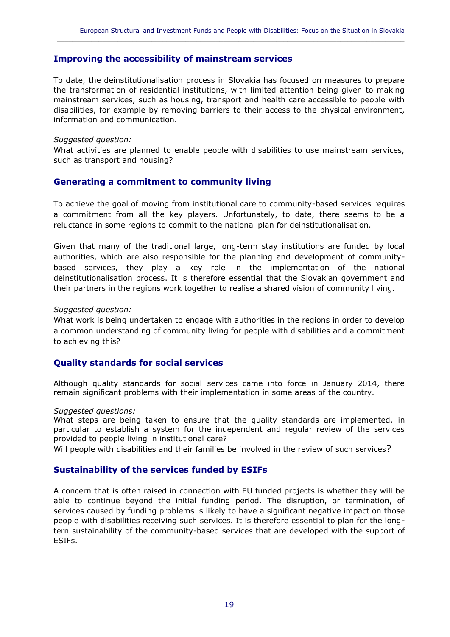#### **Improving the accessibility of mainstream services**

To date, the deinstitutionalisation process in Slovakia has focused on measures to prepare the transformation of residential institutions, with limited attention being given to making mainstream services, such as housing, transport and health care accessible to people with disabilities, for example by removing barriers to their access to the physical environment, information and communication.

 $\_$  ,  $\_$  ,  $\_$  ,  $\_$  ,  $\_$  ,  $\_$  ,  $\_$  ,  $\_$  ,  $\_$  ,  $\_$  ,  $\_$  ,  $\_$  ,  $\_$  ,  $\_$  ,  $\_$  ,  $\_$  ,  $\_$  ,  $\_$  ,  $\_$  ,  $\_$  ,  $\_$  ,  $\_$  ,  $\_$  ,  $\_$  ,  $\_$  ,  $\_$  ,  $\_$  ,  $\_$  ,  $\_$  ,  $\_$  ,  $\_$  ,  $\_$  ,  $\_$  ,  $\_$  ,  $\_$  ,  $\_$  ,  $\_$  ,

#### *Suggested question:*

What activities are planned to enable people with disabilities to use mainstream services, such as transport and housing?

#### **Generating a commitment to community living**

To achieve the goal of moving from institutional care to community-based services requires a commitment from all the key players. Unfortunately, to date, there seems to be a reluctance in some regions to commit to the national plan for deinstitutionalisation.

Given that many of the traditional large, long-term stay institutions are funded by local authorities, which are also responsible for the planning and development of communitybased services, they play a key role in the implementation of the national deinstitutionalisation process. It is therefore essential that the Slovakian government and their partners in the regions work together to realise a shared vision of community living.

#### *Suggested question:*

What work is being undertaken to engage with authorities in the regions in order to develop a common understanding of community living for people with disabilities and a commitment to achieving this?

#### **Quality standards for social services**

Although quality standards for social services came into force in January 2014, there remain significant problems with their implementation in some areas of the country.

#### *Suggested questions:*

What steps are being taken to ensure that the quality standards are implemented, in particular to establish a system for the independent and regular review of the services provided to people living in institutional care?

Will people with disabilities and their families be involved in the review of such services?

#### **Sustainability of the services funded by ESIFs**

A concern that is often raised in connection with EU funded projects is whether they will be able to continue beyond the initial funding period. The disruption, or termination, of services caused by funding problems is likely to have a significant negative impact on those people with disabilities receiving such services. It is therefore essential to plan for the longtern sustainability of the community-based services that are developed with the support of ESIFs.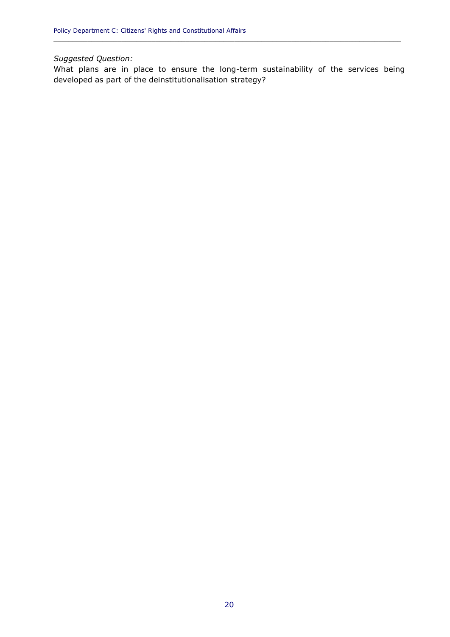#### *Suggested Question:*

What plans are in place to ensure the long-term sustainability of the services being developed as part of the deinstitutionalisation strategy?

**\_\_\_\_\_\_\_\_\_\_\_\_\_\_\_\_\_\_\_\_\_\_\_\_\_\_\_\_\_\_\_\_\_\_\_\_\_\_\_\_\_\_\_\_\_\_\_\_\_\_\_\_\_\_\_\_\_\_\_\_\_\_\_\_\_\_\_\_\_\_\_\_\_\_\_\_\_\_\_\_\_\_\_\_\_\_\_\_\_\_\_\_**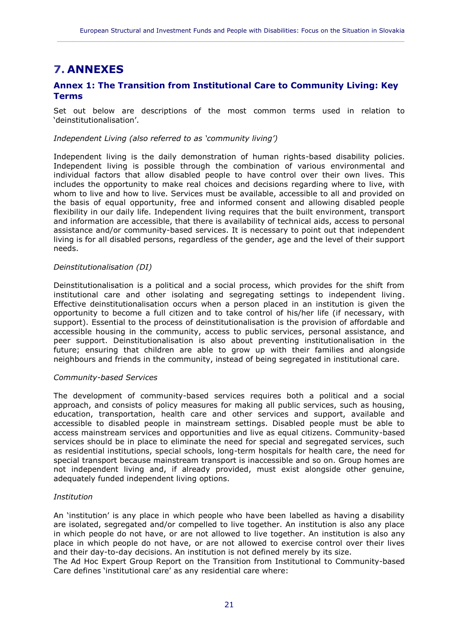## <span id="page-22-0"></span>**7. ANNEXES**

#### **Annex 1: The Transition from Institutional Care to Community Living: Key Terms**

 $\_$  ,  $\_$  ,  $\_$  ,  $\_$  ,  $\_$  ,  $\_$  ,  $\_$  ,  $\_$  ,  $\_$  ,  $\_$  ,  $\_$  ,  $\_$  ,  $\_$  ,  $\_$  ,  $\_$  ,  $\_$  ,  $\_$  ,  $\_$  ,  $\_$  ,  $\_$  ,  $\_$  ,  $\_$  ,  $\_$  ,  $\_$  ,  $\_$  ,  $\_$  ,  $\_$  ,  $\_$  ,  $\_$  ,  $\_$  ,  $\_$  ,  $\_$  ,  $\_$  ,  $\_$  ,  $\_$  ,  $\_$  ,  $\_$  ,

Set out below are descriptions of the most common terms used in relation to 'deinstitutionalisation'.

#### *Independent Living (also referred to as 'community living')*

Independent living is the daily demonstration of human rights-based disability policies. Independent living is possible through the combination of various environmental and individual factors that allow disabled people to have control over their own lives. This includes the opportunity to make real choices and decisions regarding where to live, with whom to live and how to live. Services must be available, accessible to all and provided on the basis of equal opportunity, free and informed consent and allowing disabled people flexibility in our daily life. Independent living requires that the built environment, transport and information are accessible, that there is availability of technical aids, access to personal assistance and/or community-based services. It is necessary to point out that independent living is for all disabled persons, regardless of the gender, age and the level of their support needs.

#### *Deinstitutionalisation (DI)*

Deinstitutionalisation is a political and a social process, which provides for the shift from institutional care and other isolating and segregating settings to independent living. Effective deinstitutionalisation occurs when a person placed in an institution is given the opportunity to become a full citizen and to take control of his/her life (if necessary, with support). Essential to the process of deinstitutionalisation is the provision of affordable and accessible housing in the community, access to public services, personal assistance, and peer support. Deinstitutionalisation is also about preventing institutionalisation in the future; ensuring that children are able to grow up with their families and alongside neighbours and friends in the community, instead of being segregated in institutional care.

#### *Community-based Services*

The development of community-based services requires both a political and a social approach, and consists of policy measures for making all public services, such as housing, education, transportation, health care and other services and support, available and accessible to disabled people in mainstream settings. Disabled people must be able to access mainstream services and opportunities and live as equal citizens. Community-based services should be in place to eliminate the need for special and segregated services, such as residential institutions, special schools, long-term hospitals for health care, the need for special transport because mainstream transport is inaccessible and so on. Group homes are not independent living and, if already provided, must exist alongside other genuine, adequately funded independent living options.

#### *Institution*

An 'institution' is any place in which people who have been labelled as having a disability are isolated, segregated and/or compelled to live together. An institution is also any place in which people do not have, or are not allowed to live together. An institution is also any place in which people do not have, or are not allowed to exercise control over their lives and their day-to-day decisions. An institution is not defined merely by its size.

The Ad Hoc Expert Group Report on the Transition from Institutional to Community-based Care defines 'institutional care' as any residential care where: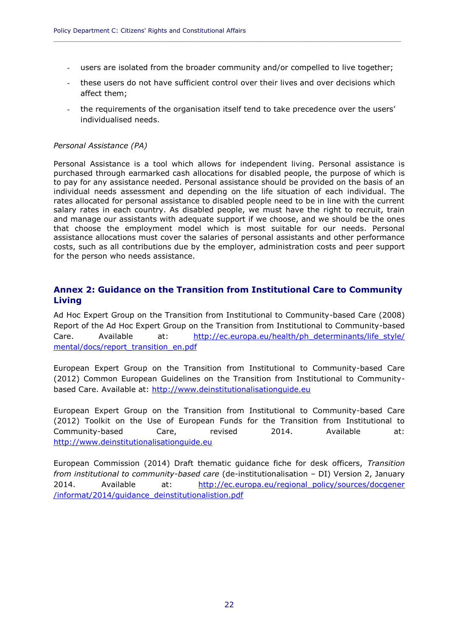users are isolated from the broader community and/or compelled to live together;

**\_\_\_\_\_\_\_\_\_\_\_\_\_\_\_\_\_\_\_\_\_\_\_\_\_\_\_\_\_\_\_\_\_\_\_\_\_\_\_\_\_\_\_\_\_\_\_\_\_\_\_\_\_\_\_\_\_\_\_\_\_\_\_\_\_\_\_\_\_\_\_\_\_\_\_\_\_\_\_\_\_\_\_\_\_\_\_\_\_\_\_\_**

- these users do not have sufficient control over their lives and over decisions which affect them;
- the requirements of the organisation itself tend to take precedence over the users' individualised needs.

#### *Personal Assistance (PA)*

Personal Assistance is a tool which allows for independent living. Personal assistance is purchased through earmarked cash allocations for disabled people, the purpose of which is to pay for any assistance needed. Personal assistance should be provided on the basis of an individual needs assessment and depending on the life situation of each individual. The rates allocated for personal assistance to disabled people need to be in line with the current salary rates in each country. As disabled people, we must have the right to recruit, train and manage our assistants with adequate support if we choose, and we should be the ones that choose the employment model which is most suitable for our needs. Personal assistance allocations must cover the salaries of personal assistants and other performance costs, such as all contributions due by the employer, administration costs and peer support for the person who needs assistance.

#### **Annex 2: Guidance on the Transition from Institutional Care to Community Living**

Ad Hoc Expert Group on the Transition from Institutional to Community-based Care (2008) Report of the Ad Hoc Expert Group on the Transition from Institutional to Community-based Care. Available at: [http://ec.europa.eu/health/ph\\_determinants/life\\_style/](http://ec.europa.eu/health/ph_determinants/life_style/%20mental/docs/report_transition_en.pdf) [mental/docs/report\\_transition\\_en.pdf](http://ec.europa.eu/health/ph_determinants/life_style/%20mental/docs/report_transition_en.pdf)

European Expert Group on the Transition from Institutional to Community-based Care (2012) Common European Guidelines on the Transition from Institutional to Communitybased Care. Available at: [http://www.deinstitutionalisationguide.eu](http://www.deinstitutionalisationguide.eu/)

European Expert Group on the Transition from Institutional to Community-based Care (2012) Toolkit on the Use of European Funds for the Transition from Institutional to Community-based Care, revised 2014. Available at: [http://www.deinstitutionalisationguide.eu](http://www.deinstitutionalisationguide.eu/)

European Commission (2014) Draft thematic guidance fiche for desk officers, *Transition from institutional to community-based care* (de-institutionalisation – DI) Version 2, January 2014. Available at: [http://ec.europa.eu/regional\\_policy/sources/docgener](http://ec.europa.eu/regional_policy/sources/docgener%20/informat/2014/guidance_deinstitutionalistion.pdf) [/informat/2014/guidance\\_deinstitutionalistion.pdf](http://ec.europa.eu/regional_policy/sources/docgener%20/informat/2014/guidance_deinstitutionalistion.pdf)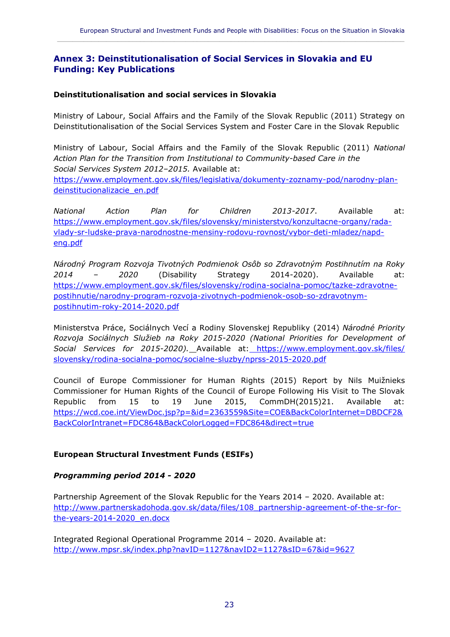$\_$  ,  $\_$  ,  $\_$  ,  $\_$  ,  $\_$  ,  $\_$  ,  $\_$  ,  $\_$  ,  $\_$  ,  $\_$  ,  $\_$  ,  $\_$  ,  $\_$  ,  $\_$  ,  $\_$  ,  $\_$  ,  $\_$  ,  $\_$  ,  $\_$  ,  $\_$  ,  $\_$  ,  $\_$  ,  $\_$  ,  $\_$  ,  $\_$  ,  $\_$  ,  $\_$  ,  $\_$  ,  $\_$  ,  $\_$  ,  $\_$  ,  $\_$  ,  $\_$  ,  $\_$  ,  $\_$  ,  $\_$  ,  $\_$  ,

#### **Annex 3: Deinstitutionalisation of Social Services in Slovakia and EU Funding: Key Publications**

#### **Deinstitutionalisation and social services in Slovakia**

Ministry of Labour, Social Affairs and the Family of the Slovak Republic (2011) Strategy on Deinstitutionalisation of the Social Services System and Foster Care in the Slovak Republic

Ministry of Labour, Social Affairs and the Family of the Slovak Republic (2011) *National Action Plan for the Transition from Institutional to Community-based Care in the Social Services System 2012–2015.* Available at: [https://www.employment.gov.sk/files/legislativa/dokumenty-zoznamy-pod/narodny-plan](https://www.employment.gov.sk/files/legislativa/dokumenty-zoznamy-pod/narodny-plan-deinstitucionalizacie_en.pdf)[deinstitucionalizacie\\_en.pdf](https://www.employment.gov.sk/files/legislativa/dokumenty-zoznamy-pod/narodny-plan-deinstitucionalizacie_en.pdf)

*National Action Plan for Children 2013-2017*. Available at: [https://www.employment.gov.sk/files/slovensky/ministerstvo/konzultacne-organy/rada](https://www.employment.gov.sk/files/slovensky/ministerstvo/konzultacne-organy/rada-vlady-sr-ludske-prava-narodnostne-mensiny-rodovu-rovnost/vybor-deti-mladez/napd-eng.pdf)[vlady-sr-ludske-prava-narodnostne-mensiny-rodovu-rovnost/vybor-deti-mladez/napd](https://www.employment.gov.sk/files/slovensky/ministerstvo/konzultacne-organy/rada-vlady-sr-ludske-prava-narodnostne-mensiny-rodovu-rovnost/vybor-deti-mladez/napd-eng.pdf)[eng.pdf](https://www.employment.gov.sk/files/slovensky/ministerstvo/konzultacne-organy/rada-vlady-sr-ludske-prava-narodnostne-mensiny-rodovu-rovnost/vybor-deti-mladez/napd-eng.pdf)

*Národný Program Rozvoja Tivotných Podmienok Osôb so Zdravotným Postihnutím na Roky 2014 – 2020* (Disability Strategy 2014-2020). Available at: [https://www.employment.gov.sk/files/slovensky/rodina-socialna-pomoc/tazke-zdravotne](https://www.employment.gov.sk/files/slovensky/rodina-socialna-pomoc/tazke-zdravotne-postihnutie/narodny-program-rozvoja-zivotnych-podmienok-osob-so-zdravotnym-postihnutim-roky-2014-2020.pdf)[postihnutie/narodny-program-rozvoja-zivotnych-podmienok-osob-so-zdravotnym](https://www.employment.gov.sk/files/slovensky/rodina-socialna-pomoc/tazke-zdravotne-postihnutie/narodny-program-rozvoja-zivotnych-podmienok-osob-so-zdravotnym-postihnutim-roky-2014-2020.pdf)[postihnutim-roky-2014-2020.pdf](https://www.employment.gov.sk/files/slovensky/rodina-socialna-pomoc/tazke-zdravotne-postihnutie/narodny-program-rozvoja-zivotnych-podmienok-osob-so-zdravotnym-postihnutim-roky-2014-2020.pdf)

Ministerstva Práce, Sociálnych Vecí a Rodiny Slovenskej Republiky (2014) *Národné Priority Rozvoja Sociálnych Služieb na Roky 2015-2020 (National Priorities for Development of Social Services for 2015-2020).* Available at: [https://www.employment.gov.sk/files/](https://www.employment.gov.sk/files/%20slovensky/rodina-socialna-pomoc/socialne-sluzby/nprss-2015-2020.pdf) [slovensky/rodina-socialna-pomoc/socialne-sluzby/nprss-2015-2020.pdf](https://www.employment.gov.sk/files/%20slovensky/rodina-socialna-pomoc/socialne-sluzby/nprss-2015-2020.pdf)

Council of Europe Commissioner for Human Rights (2015) Report by Nils Muižnieks Commissioner for Human Rights of the Council of Europe Following His Visit to The Slovak Republic from 15 to 19 June 2015, CommDH(2015)21. Available at: [https://wcd.coe.int/ViewDoc.jsp?p=&id=2363559&Site=COE&BackColorInternet=DBDCF2&](https://wcd.coe.int/ViewDoc.jsp?p=&id=2363559&Site=COE&BackColorInternet=DBDCF2&BackColorIntranet=FDC864&BackColorLogged=FDC864&direct=true) [BackColorIntranet=FDC864&BackColorLogged=FDC864&direct=true](https://wcd.coe.int/ViewDoc.jsp?p=&id=2363559&Site=COE&BackColorInternet=DBDCF2&BackColorIntranet=FDC864&BackColorLogged=FDC864&direct=true)

#### **European Structural Investment Funds (ESIFs)**

#### *Programming period 2014 - 2020*

Partnership Agreement of the Slovak Republic for the Years 2014 – 2020. Available at: [http://www.partnerskadohoda.gov.sk/data/files/108\\_partnership-agreement-of-the-sr-for](http://www.partnerskadohoda.gov.sk/data/files/108_partnership-agreement-of-the-sr-for-the-years-2014-2020_en.docx)[the-years-2014-2020\\_en.docx](http://www.partnerskadohoda.gov.sk/data/files/108_partnership-agreement-of-the-sr-for-the-years-2014-2020_en.docx)

Integrated Regional Operational Programme 2014 – 2020. Available at: <http://www.mpsr.sk/index.php?navID=1127&navID2=1127&sID=67&id=9627>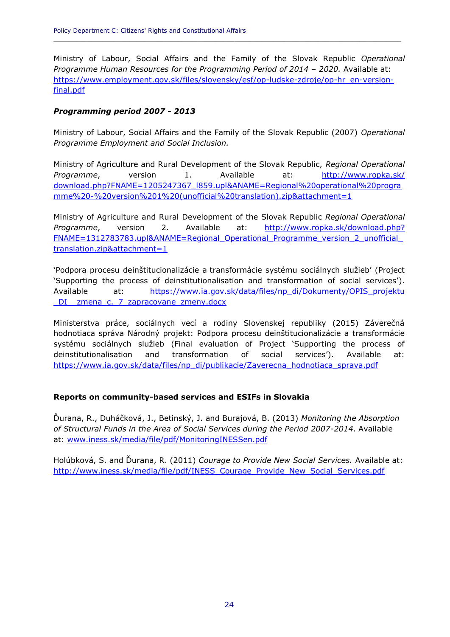Ministry of Labour, Social Affairs and the Family of the Slovak Republic *Operational Programme Human Resources for the Programming Period of 2014 – 2020.* Available at: [https://www.employment.gov.sk/files/slovensky/esf/op-ludske-zdroje/op-hr\\_en-version](https://www.employment.gov.sk/files/slovensky/esf/op-ludske-zdroje/op-hr_en-version-final.pdf)[final.pdf](https://www.employment.gov.sk/files/slovensky/esf/op-ludske-zdroje/op-hr_en-version-final.pdf)

**\_\_\_\_\_\_\_\_\_\_\_\_\_\_\_\_\_\_\_\_\_\_\_\_\_\_\_\_\_\_\_\_\_\_\_\_\_\_\_\_\_\_\_\_\_\_\_\_\_\_\_\_\_\_\_\_\_\_\_\_\_\_\_\_\_\_\_\_\_\_\_\_\_\_\_\_\_\_\_\_\_\_\_\_\_\_\_\_\_\_\_\_**

#### *Programming period 2007 - 2013*

Ministry of Labour, Social Affairs and the Family of the Slovak Republic (2007) *Operational Programme Employment and Social Inclusion.*

Ministry of Agriculture and Rural Development of the Slovak Republic, *Regional Operational*  Programme, version 1. Available at: [http://www.ropka.sk/](http://www.ropka.sk/%20download.php?FNAME=1205247367_l859.upl&ANAME=Regional%20operational%20programme%20-%20version%201%20(unofficial%20translation).zip&attachment=1) [download.php?FNAME=1205247367\\_l859.upl&ANAME=Regional%20operational%20progra](http://www.ropka.sk/%20download.php?FNAME=1205247367_l859.upl&ANAME=Regional%20operational%20programme%20-%20version%201%20(unofficial%20translation).zip&attachment=1) [mme%20-%20version%201%20\(unofficial%20translation\).zip&attachment=1](http://www.ropka.sk/%20download.php?FNAME=1205247367_l859.upl&ANAME=Regional%20operational%20programme%20-%20version%201%20(unofficial%20translation).zip&attachment=1)

Ministry of Agriculture and Rural Development of the Slovak Republic *Regional Operational Programme*, version 2. Available at: [http://www.ropka.sk/download.php?](http://www.ropka.sk/download.php?%20FNAME=1312783783.upl&ANAME=Regional_Operational_Programme_version_2_unofficial_translation.zip&attachment=1) [FNAME=1312783783.upl&ANAME=Regional\\_Operational\\_Programme\\_version\\_2\\_unofficial\\_](http://www.ropka.sk/download.php?%20FNAME=1312783783.upl&ANAME=Regional_Operational_Programme_version_2_unofficial_translation.zip&attachment=1) [translation.zip&attachment=1](http://www.ropka.sk/download.php?%20FNAME=1312783783.upl&ANAME=Regional_Operational_Programme_version_2_unofficial_translation.zip&attachment=1)

'Podpora procesu deinštitucionalizácie a transformácie systému sociálnych služieb' (Project 'Supporting the process of deinstitutionalisation and transformation of social services'). Available at: [https://www.ia.gov.sk/data/files/np\\_di/Dokumenty/OPIS\\_projektu](https://www.ia.gov.sk/data/files/np_di/Dokumenty/OPIS_projektu%20_DI__zmena_c._7_zapracovane_zmeny.docx) DI zmena c. 7 zapracovane zmeny.docx

Ministerstva práce, sociálnych vecí a rodiny Slovenskej republiky (2015) Záverečná hodnotiaca správa Národný projekt: Podpora procesu deinštitucionalizácie a transformácie systému sociálnych služieb (Final evaluation of Project 'Supporting the process of deinstitutionalisation and transformation of social services'). Available at: [https://www.ia.gov.sk/data/files/np\\_di/publikacie/Zaverecna\\_hodnotiaca\\_sprava.pdf](https://www.ia.gov.sk/data/files/np_di/publikacie/Zaverecna_hodnotiaca_sprava.pdf)

#### **Reports on community-based services and ESIFs in Slovakia**

Ďurana, R., Duháčková, J., Betinský, J. and Burajová, B. (2013) *Monitoring the Absorption of Structural Funds in the Area of Social Services during the Period 2007-2014*. Available at: [www.iness.sk/media/file/pdf/MonitoringINESSen.pdf](http://www.iness.sk/media/file/pdf/MonitoringINESSen.pdf)

Holúbková, S. and Ďurana, R. (2011) *Courage to Provide New Social Services.* Available at: [http://www.iness.sk/media/file/pdf/INESS\\_Courage\\_Provide\\_New\\_Social\\_Services.pdf](http://www.iness.sk/media/file/pdf/INESS_Courage_Provide_New_Social_Services.pdf)